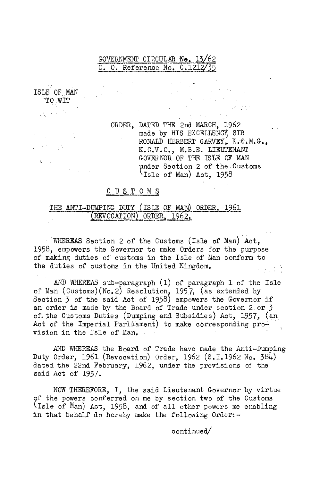## GOVERNMENT CIRCULAR Ne. 13/62 G. O. Reference No.  $C.1212/35$

ISLE OF MAN TO WIT

 $\mathcal{G}^{\mathcal{G}}$  ,  $\mathcal{G}^{\mathcal{G}}$ 

ORDER, DATED THE 2nd MARCH, 1962 made by HIS EXCELLENCY SIR RONALD HERBERT GARVEY, K.C.M.G., K.C.V.O., M.B.E. LIEUTENANT GOVERNOR OF THE ISLE OF MAN under Section 2 of the Customs 'Isle of Man) Act. 1958

 $\mathcal{A}=\sum_{i=1}^n\mathcal{A}_i$  ,  $\mathcal{A}_i=\mathcal{A}_i$ 

## CUSTOMS

## THE ANTI-DUMPING DUTY (ISLE OF MAN) ORDER, 1961 (REVOCATION) ORDER, 1962.

WHEREAS Section 2 of the Customs (Isle of Man) Act, 1958, empowers the Governor to make Orders for the purpose of making duties of customs in the Isle of Man conform to the duties of customs in the United Kingdom. 医心脏的 等

AND WHEREAS sub-paragraph (1) of paragraph 1 of the Isle of Man (Customs)(No.2) Resolution, 195.7, (as extended by Section 3 of the said Act of 1958) empowers the Governor if an order is made by the Board of Trade under section 2 or 3 of the Customs Duties (Dumping and Subsidies) Act, 1957, (an Act of the Imperial Parliament) to make corresponding provision in the Isle of Man.

AND WEEREAS the Board of Trade have made the Anti-Dumping Duty Order, 1961 (Revocation) Order, 1962 (S.I.1962 No. 384) dated the 22nd February, 1962, under the provisions of the said Act of 1957.

NOW THEREFORE, I, the said Lieutenant Governor by virtue of the powers conferred on me by section two of the Customs lisle of Man) Act, 1958, and of all other powers me enabling in that behalf do hereby make the following  $Order:-$ 

continued/